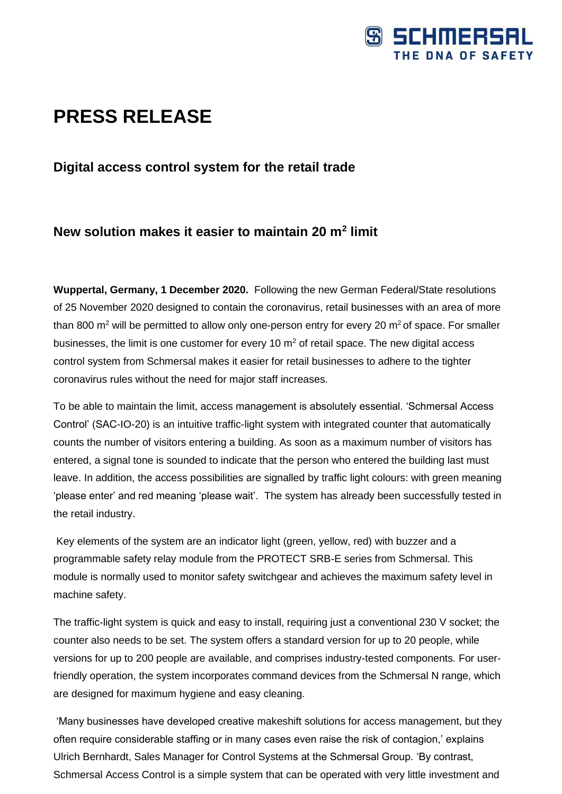

# **PRESS RELEASE**

### **Digital access control system for the retail trade**

## **New solution makes it easier to maintain 20 m<sup>2</sup> limit**

**Wuppertal, Germany, 1 December 2020.** Following the new German Federal/State resolutions of 25 November 2020 designed to contain the coronavirus, retail businesses with an area of more than 800  $m^2$  will be permitted to allow only one-person entry for every 20  $m^2$  of space. For smaller businesses, the limit is one customer for every 10  $m<sup>2</sup>$  of retail space. The new digital access control system from Schmersal makes it easier for retail businesses to adhere to the tighter coronavirus rules without the need for major staff increases.

To be able to maintain the limit, access management is absolutely essential. 'Schmersal Access Control' (SAC-IO-20) is an intuitive traffic-light system with integrated counter that automatically counts the number of visitors entering a building. As soon as a maximum number of visitors has entered, a signal tone is sounded to indicate that the person who entered the building last must leave. In addition, the access possibilities are signalled by traffic light colours: with green meaning 'please enter' and red meaning 'please wait'. The system has already been successfully tested in the retail industry.

Key elements of the system are an indicator light (green, yellow, red) with buzzer and a programmable safety relay module from the PROTECT SRB-E series from Schmersal. This module is normally used to monitor safety switchgear and achieves the maximum safety level in machine safety.

The traffic-light system is quick and easy to install, requiring just a conventional 230 V socket; the counter also needs to be set. The system offers a standard version for up to 20 people, while versions for up to 200 people are available, and comprises industry-tested components. For userfriendly operation, the system incorporates command devices from the Schmersal N range, which are designed for maximum hygiene and easy cleaning.

'Many businesses have developed creative makeshift solutions for access management, but they often require considerable staffing or in many cases even raise the risk of contagion,' explains Ulrich Bernhardt, Sales Manager for Control Systems at the Schmersal Group. 'By contrast, Schmersal Access Control is a simple system that can be operated with very little investment and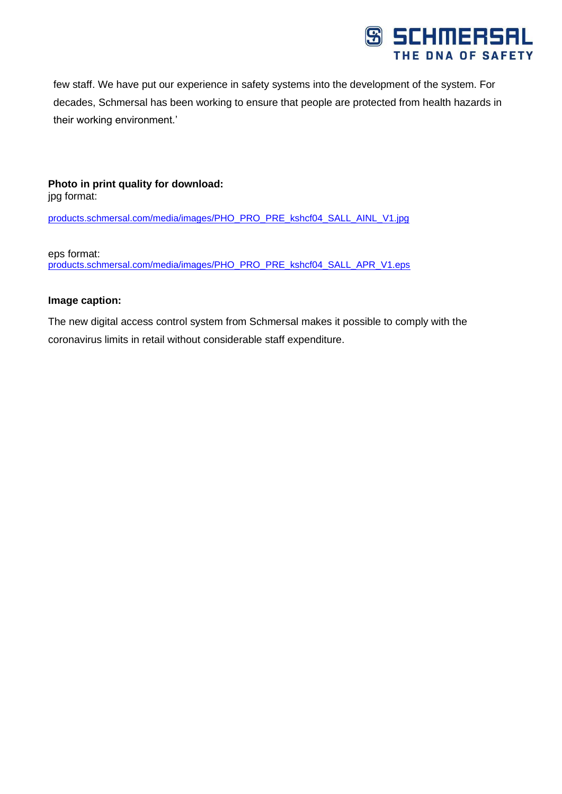

few staff. We have put our experience in safety systems into the development of the system. For decades, Schmersal has been working to ensure that people are protected from health hazards in their working environment.'

#### **Photo in print quality for download:** jpg format:

[products.schmersal.com/media/images/PHO\\_PRO\\_PRE\\_kshcf04\\_SALL\\_AINL\\_V1.jpg](https://eur03.safelinks.protection.outlook.com/?url=http%3A%2F%2Fproducts.schmersal.com%2Fmedia%2Fimages%2FPHO_PRO_PRE_kshcf04_SALL_AINL_V1.jpg&data=04%7C01%7CSBloemker%40schmersal.com%7C6921d2930621456789c808d8951354f8%7C5bba174727094b46a3319a4c23a8a7b6%7C1%7C0%7C637423257542576082%7CUnknown%7CTWFpbGZsb3d8eyJWIjoiMC4wLjAwMDAiLCJQIjoiV2luMzIiLCJBTiI6Ik1haWwiLCJXVCI6Mn0%3D%7C1000&sdata=ezrBKJHPeXn1VVR3jtUtAflpmtxjqqijzc71urUR7R0%3D&reserved=0)

eps format:

[products.schmersal.com/media/images/PHO\\_PRO\\_PRE\\_kshcf04\\_SALL\\_APR\\_V1.eps](https://eur03.safelinks.protection.outlook.com/?url=http%3A%2F%2Fproducts.schmersal.com%2Fmedia%2Fimages%2FPHO_PRO_PRE_kshcf04_SALL_APR_V1.eps&data=04%7C01%7CSBloemker%40schmersal.com%7C6921d2930621456789c808d8951354f8%7C5bba174727094b46a3319a4c23a8a7b6%7C1%7C0%7C637423257542586076%7CUnknown%7CTWFpbGZsb3d8eyJWIjoiMC4wLjAwMDAiLCJQIjoiV2luMzIiLCJBTiI6Ik1haWwiLCJXVCI6Mn0%3D%7C1000&sdata=yG%2FXXE36PvzGqyNsRlGYvi0JvgcGy004SqT63og9I3A%3D&reserved=0)

#### **Image caption:**

The new digital access control system from Schmersal makes it possible to comply with the coronavirus limits in retail without considerable staff expenditure.